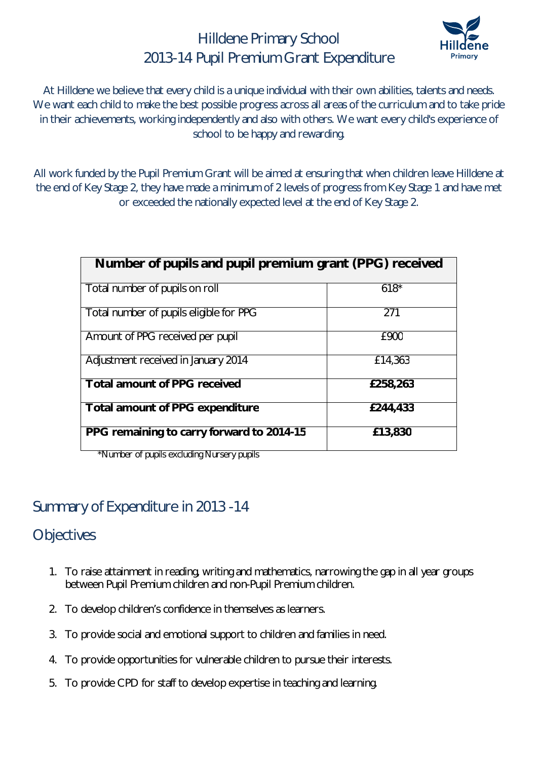#### Hilldene Primary School 2013-14 Pupil Premium Grant Expenditure



At Hilldene we believe that every child is a unique individual with their own abilities, talents and needs. We want each child to make the best possible progress across all areas of the curriculum and to take pride in their achievements, working independently and also with others. We want every child's experience of school to be happy and rewarding.

All work funded by the Pupil Premium Grant will be aimed at ensuring that when children leave Hilldene at the end of Key Stage 2, they have made a minimum of 2 levels of progress from Key Stage 1 and have met or exceeded the nationally expected level at the end of Key Stage 2.

| Number of pupils and pupil premium grant (PPG) received |          |  |  |  |  |
|---------------------------------------------------------|----------|--|--|--|--|
|                                                         |          |  |  |  |  |
| Total number of pupils on roll                          | $618*$   |  |  |  |  |
|                                                         |          |  |  |  |  |
| Total number of pupils eligible for PPG                 | 271      |  |  |  |  |
| Amount of PPG received per pupil                        | £900     |  |  |  |  |
|                                                         |          |  |  |  |  |
| Adjustment received in January 2014                     | £14,363  |  |  |  |  |
| <b>Total amount of PPG received</b>                     | £258,263 |  |  |  |  |
| <b>Total amount of PPG expenditure</b>                  | £244,433 |  |  |  |  |
| PPG remaining to carry forward to 2014-15               | £13,830  |  |  |  |  |
|                                                         |          |  |  |  |  |

\*Number of pupils excluding Nursery pupils

#### Summary of Expenditure in 2013 -14

#### **Objectives**

- 1. To raise attainment in reading, writing and mathematics, narrowing the gap in all year groups between Pupil Premium children and non-Pupil Premium children.
- 2. To develop children's confidence in themselves as learners.
- 3. To provide social and emotional support to children and families in need.
- 4. To provide opportunities for vulnerable children to pursue their interests.
- 5. To provide CPD for staff to develop expertise in teaching and learning.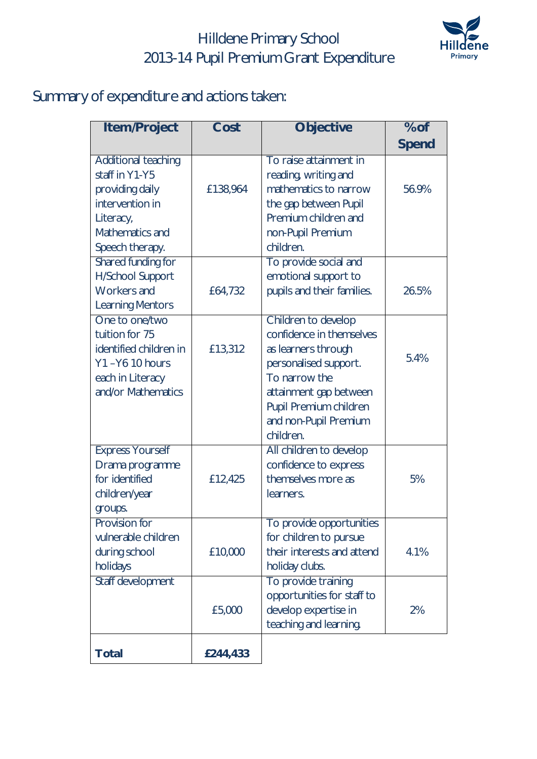## Hilldene Primary School 2013-14 Pupil Premium Grant Expenditure



# Summary of expenditure and actions taken:

| <b>Item/Project</b>                                                                                                                   | Cost     | <b>Objective</b>                                                                                                                                                                                           | $%$ of       |
|---------------------------------------------------------------------------------------------------------------------------------------|----------|------------------------------------------------------------------------------------------------------------------------------------------------------------------------------------------------------------|--------------|
|                                                                                                                                       |          |                                                                                                                                                                                                            | <b>Spend</b> |
| <b>Additional teaching</b><br>staff in Y1-Y5<br>providing daily<br>intervention in<br>Literacy,<br>Mathematics and<br>Speech therapy. | £138,964 | To raise attainment in<br>reading, writing and<br>mathematics to narrow<br>the gap between Pupil<br>Premium children and<br>non-Pupil Premium<br>children.                                                 | 56.9%        |
| Shared funding for<br><b>H/School Support</b><br><b>Workers</b> and<br><b>Learning Mentors</b>                                        | £64,732  | To provide social and<br>emotional support to<br>pupils and their families.                                                                                                                                | 26.5%        |
| One to one/two<br>tuition for 75<br>identified children in<br>$Y1 - Y6$ 10 hours<br>each in Literacy<br>and/or Mathematics            | £13,312  | Children to develop<br>confidence in themselves<br>as learners through<br>personalised support.<br>To narrow the<br>attainment gap between<br>Pupil Premium children<br>and non-Pupil Premium<br>children. | 5.4%         |
| <b>Express Yourself</b><br>Drama programme<br>for identified<br>children/year<br>groups.                                              | £12,425  | All children to develop<br>confidence to express<br>themselves more as<br>learners.                                                                                                                        | 5%           |
| Provision for<br>vulnerable children<br>during school<br>holidays                                                                     | £10,000  | To provide opportunities<br>for children to pursue<br>their interests and attend<br>holiday clubs.                                                                                                         | 4.1%         |
| Staff development                                                                                                                     | £5,000   | To provide training<br>opportunities for staff to<br>develop expertise in<br>teaching and learning.                                                                                                        | 2%           |
| <b>Total</b>                                                                                                                          | £244,433 |                                                                                                                                                                                                            |              |